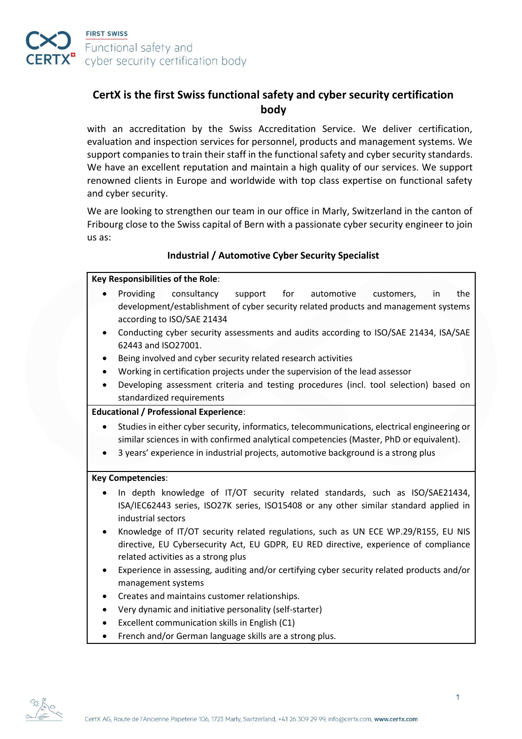

# **CertX is the first Swiss functional safety and cyber security certification body**

with an accreditation by the Swiss Accreditation Service. We deliver certification, evaluation and inspection services for personnel, products and management systems. We support companies to train their staff in the functional safety and cyber security standards. We have an excellent reputation and maintain a high quality of our services. We support renowned clients in Europe and worldwide with top class expertise on functional safety and cyber security.

We are looking to strengthen our team in our office in Marly, Switzerland in the canton of Fribourg close to the Swiss capital of Bern with a passionate cyber security engineer to join us as:

# **Industrial / Automotive Cyber Security Specialist**

#### **Key Responsibilities of the Role**:

- Providing consultancy support for automotive customers, in the development/establishment of cyber security related products and management systems according to ISO/SAE 21434
- Conducting cyber security assessments and audits according to ISO/SAE 21434, ISA/SAE 62443 and ISO27001.
- Being involved and cyber security related research activities
- Working in certification projects under the supervision of the lead assessor
- Developing assessment criteria and testing procedures (incl. tool selection) based on standardized requirements

## **Educational / Professional Experience**:

- Studies in either cyber security, informatics, telecommunications, electrical engineering or similar sciences in with confirmed analytical competencies (Master, PhD or equivalent).
- 3 years' experience in industrial projects, automotive background is a strong plus

## **Key Competencies**:

- In depth knowledge of IT/OT security related standards, such as ISO/SAE21434, ISA/IEC62443 series, ISO27K series, ISO15408 or any other similar standard applied in industrial sectors
- Knowledge of IT/OT security related regulations, such as UN ECE WP.29/R155, EU NIS directive, EU Cybersecurity Act, EU GDPR, EU RED directive, experience of compliance related activities as a strong plus
- Experience in assessing, auditing and/or certifying cyber security related products and/or management systems
- Creates and maintains customer relationships.
- Very dynamic and initiative personality (self-starter)
- Excellent communication skills in English (C1)
- French and/or German language skills are a strong plus.